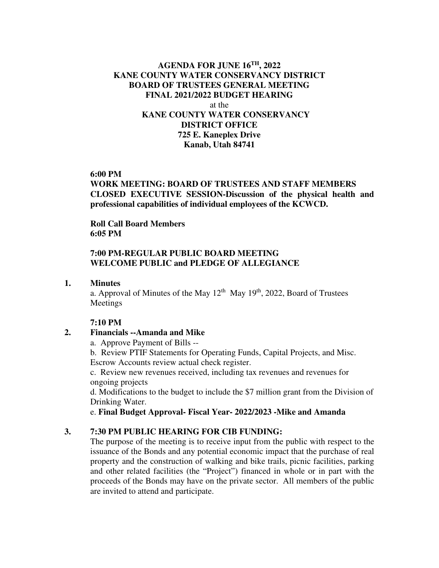## **AGENDA FOR JUNE 16TH, 2022 KANE COUNTY WATER CONSERVANCY DISTRICT BOARD OF TRUSTEES GENERAL MEETING FINAL 2021/2022 BUDGET HEARING**  at the **KANE COUNTY WATER CONSERVANCY DISTRICT OFFICE 725 E. Kaneplex Drive Kanab, Utah 84741**

### **6:00 PM**

**WORK MEETING: BOARD OF TRUSTEES AND STAFF MEMBERS CLOSED EXECUTIVE SESSION-Discussion of the physical health and professional capabilities of individual employees of the KCWCD.** 

 **Roll Call Board Members 6:05 PM** 

### **7:00 PM-REGULAR PUBLIC BOARD MEETING WELCOME PUBLIC and PLEDGE OF ALLEGIANCE**

#### **1. Minutes**

a. Approval of Minutes of the May  $12<sup>th</sup>$  May  $19<sup>th</sup>$ , 2022, Board of Trustees Meetings

#### **7:10 PM**

## **2. Financials --Amanda and Mike**

a. Approve Payment of Bills --

b. Review PTIF Statements for Operating Funds, Capital Projects, and Misc. Escrow Accounts review actual check register.

c. Review new revenues received, including tax revenues and revenues for ongoing projects

d. Modifications to the budget to include the \$7 million grant from the Division of Drinking Water.

e. **Final Budget Approval- Fiscal Year- 2022/2023 -Mike and Amanda**

#### **3. 7:30 PM PUBLIC HEARING FOR CIB FUNDING:**

The purpose of the meeting is to receive input from the public with respect to the issuance of the Bonds and any potential economic impact that the purchase of real property and the construction of walking and bike trails, picnic facilities, parking and other related facilities (the "Project") financed in whole or in part with the proceeds of the Bonds may have on the private sector. All members of the public are invited to attend and participate.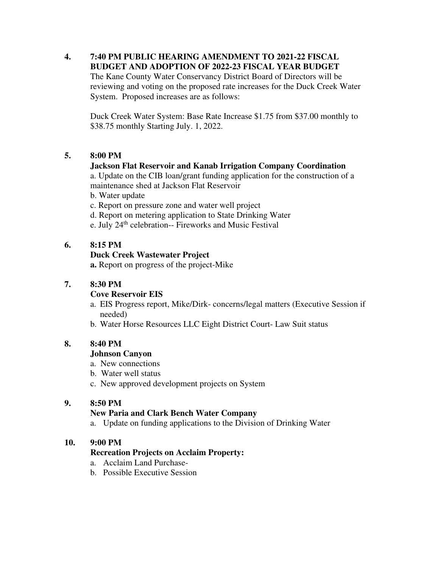#### **4. 7:40 PM PUBLIC HEARING AMENDMENT TO 2021-22 FISCAL BUDGET AND ADOPTION OF 2022-23 FISCAL YEAR BUDGET**  The Kane County Water Conservancy District Board of Directors will be reviewing and voting on the proposed rate increases for the Duck Creek Water System. Proposed increases are as follows:

Duck Creek Water System: Base Rate Increase \$1.75 from \$37.00 monthly to \$38.75 monthly Starting July. 1, 2022.

# **5. 8:00 PM**

## **Jackson Flat Reservoir and Kanab Irrigation Company Coordination**

a. Update on the CIB loan/grant funding application for the construction of a maintenance shed at Jackson Flat Reservoir

b. Water update

- c. Report on pressure zone and water well project
- d. Report on metering application to State Drinking Water
- e. July 24<sup>th</sup> celebration-- Fireworks and Music Festival

### **6. 8:15 PM**

### **Duck Creek Wastewater Project**

 **a.** Report on progress of the project-Mike

## **7. 8:30 PM**

#### **Cove Reservoir EIS**

- a. EIS Progress report, Mike/Dirk- concerns/legal matters (Executive Session if needed)
- b. Water Horse Resources LLC Eight District Court- Law Suit status

# **8. 8:40 PM**

## **Johnson Canyon**

- a. New connections
- b. Water well status
- c. New approved development projects on System

## **9. 8:50 PM**

## **New Paria and Clark Bench Water Company**

a. Update on funding applications to the Division of Drinking Water

## **10. 9:00 PM**

## **Recreation Projects on Acclaim Property:**

- a. Acclaim Land Purchase-
- b. Possible Executive Session